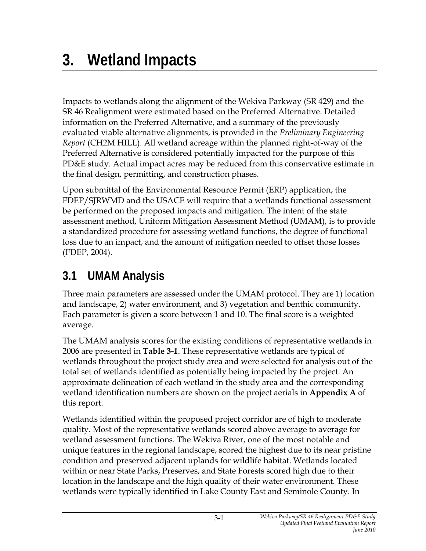# **3. Wetland Impacts**

Impacts to wetlands along the alignment of the Wekiva Parkway (SR 429) and the SR 46 Realignment were estimated based on the Preferred Alternative. Detailed information on the Preferred Alternative, and a summary of the previously evaluated viable alternative alignments, is provided in the *Preliminary Engineering Report* (CH2M HILL). All wetland acreage within the planned right-of-way of the Preferred Alternative is considered potentially impacted for the purpose of this PD&E study. Actual impact acres may be reduced from this conservative estimate in the final design, permitting, and construction phases.

Upon submittal of the Environmental Resource Permit (ERP) application, the FDEP/SJRWMD and the USACE will require that a wetlands functional assessment be performed on the proposed impacts and mitigation. The intent of the state assessment method, Uniform Mitigation Assessment Method (UMAM), is to provide a standardized procedure for assessing wetland functions, the degree of functional loss due to an impact, and the amount of mitigation needed to offset those losses (FDEP, 2004).

## **3.1 UMAM Analysis**

Three main parameters are assessed under the UMAM protocol. They are 1) location and landscape, 2) water environment, and 3) vegetation and benthic community. Each parameter is given a score between 1 and 10. The final score is a weighted average.

The UMAM analysis scores for the existing conditions of representative wetlands in 2006 are presented in **Table 3-1**. These representative wetlands are typical of wetlands throughout the project study area and were selected for analysis out of the total set of wetlands identified as potentially being impacted by the project. An approximate delineation of each wetland in the study area and the corresponding wetland identification numbers are shown on the project aerials in **Appendix A** of this report.

Wetlands identified within the proposed project corridor are of high to moderate quality. Most of the representative wetlands scored above average to average for wetland assessment functions. The Wekiva River, one of the most notable and unique features in the regional landscape, scored the highest due to its near pristine condition and preserved adjacent uplands for wildlife habitat. Wetlands located within or near State Parks, Preserves, and State Forests scored high due to their location in the landscape and the high quality of their water environment. These wetlands were typically identified in Lake County East and Seminole County. In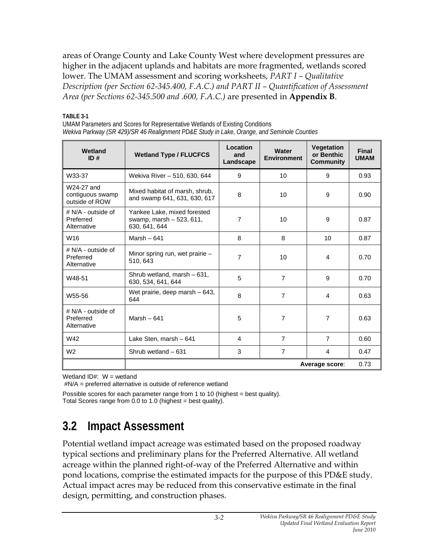areas of Orange County and Lake County West where development pressures are higher in the adjacent uplands and habitats are more fragmented, wetlands scored lower. The UMAM assessment and scoring worksheets, *PART I – Qualitative Description (per Section 62-345.400, F.A.C.) and PART II – Quantification of Assessment Area (per Sections 62-345.500 and .600, F.A.C.)* are presented in **Appendix B**.

**TABLE 3-1** 

UMAM Parameters and Scores for Representative Wetlands of Existing Conditions *Wekiva Parkway (SR 429)/SR 46 Realignment PD&E Study in Lake, Orange, and Seminole Counties* 

| Wetland<br>ID#                                   | <b>Wetland Type / FLUCFCS</b>                                              | Location<br>and<br>Landscape | <b>Water</b><br><b>Environment</b> | <b>Vegetation</b><br>or Benthic<br><b>Community</b> | <b>Final</b><br><b>UMAM</b> |
|--------------------------------------------------|----------------------------------------------------------------------------|------------------------------|------------------------------------|-----------------------------------------------------|-----------------------------|
| W33-37                                           | Wekiva River - 510, 630, 644                                               | 9                            | 10                                 | 9                                                   | 0.93                        |
| W24-27 and<br>contiguous swamp<br>outside of ROW | Mixed habitat of marsh, shrub,<br>and swamp 641, 631, 630, 617             | 8                            | 10                                 | 9                                                   | 0.90                        |
| $# N/A - outside of$<br>Preferred<br>Alternative | Yankee Lake, mixed forested<br>swamp, marsh $-523, 611$ ,<br>630, 641, 644 | $\overline{7}$               | 10                                 | 9                                                   | 0.87                        |
| W <sub>16</sub>                                  | Marsh $-641$                                                               | 8                            | 8                                  | 10                                                  | 0.87                        |
| $# N/A - outside of$<br>Preferred<br>Alternative | Minor spring run, wet prairie -<br>510, 643                                | $\overline{7}$               | 10                                 | 4                                                   | 0.70                        |
| W48-51                                           | Shrub wetland, marsh - 631,<br>630, 534, 641, 644                          | 5                            | $\overline{7}$                     | 9                                                   | 0.70                        |
| W55-56                                           | Wet prairie, deep marsh - 643,<br>644                                      | 8                            | $\overline{7}$                     | 4                                                   | 0.63                        |
| $# N/A - outside of$<br>Preferred<br>Alternative | Marsh $-641$                                                               | 5                            | $\overline{7}$                     | 7                                                   | 0.63                        |
| W42                                              | Lake Sten, marsh - 641                                                     | 4                            | $\overline{7}$                     | $\overline{7}$                                      | 0.60                        |
| W <sub>2</sub>                                   | Shrub wetland - 631                                                        | 3                            | $\overline{7}$                     | 4                                                   | 0.47                        |
|                                                  | 0.73<br>Average score:                                                     |                              |                                    |                                                     |                             |

Wetland  $ID#: W = wetland$ 

#N/A = preferred alternative is outside of reference wetland

Possible scores for each parameter range from 1 to 10 (highest = best quality). Total Scores range from  $0.0$  to  $1.0$  (highest = best quality).

## **3.2 Impact Assessment**

Potential wetland impact acreage was estimated based on the proposed roadway typical sections and preliminary plans for the Preferred Alternative. All wetland acreage within the planned right-of-way of the Preferred Alternative and within pond locations, comprise the estimated impacts for the purpose of this PD&E study. Actual impact acres may be reduced from this conservative estimate in the final design, permitting, and construction phases.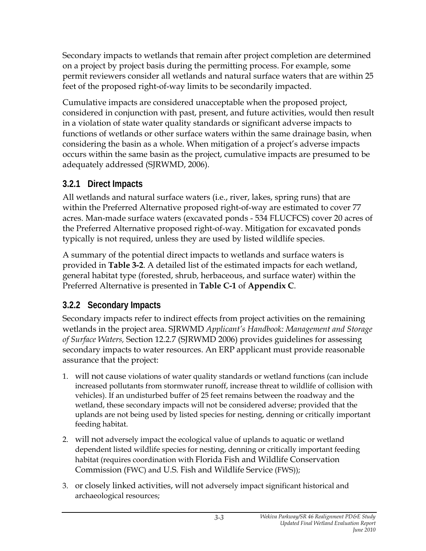Secondary impacts to wetlands that remain after project completion are determined on a project by project basis during the permitting process. For example, some permit reviewers consider all wetlands and natural surface waters that are within 25 feet of the proposed right-of-way limits to be secondarily impacted.

Cumulative impacts are considered unacceptable when the proposed project, considered in conjunction with past, present, and future activities, would then result in a violation of state water quality standards or significant adverse impacts to functions of wetlands or other surface waters within the same drainage basin, when considering the basin as a whole. When mitigation of a project's adverse impacts occurs within the same basin as the project, cumulative impacts are presumed to be adequately addressed (SJRWMD, 2006).

#### **3.2.1 Direct Impacts**

All wetlands and natural surface waters (i.e., river, lakes, spring runs) that are within the Preferred Alternative proposed right-of-way are estimated to cover 77 acres. Man-made surface waters (excavated ponds - 534 FLUCFCS) cover 20 acres of the Preferred Alternative proposed right-of-way. Mitigation for excavated ponds typically is not required, unless they are used by listed wildlife species.

A summary of the potential direct impacts to wetlands and surface waters is provided in **Table 3-2**. A detailed list of the estimated impacts for each wetland, general habitat type (forested, shrub, herbaceous, and surface water) within the Preferred Alternative is presented in **Table C-1** of **Appendix C**.

### **3.2.2 Secondary Impacts**

Secondary impacts refer to indirect effects from project activities on the remaining wetlands in the project area. SJRWMD *Applicant's Handbook: Management and Storage of Surface Waters,* Section 12.2.7 (SJRWMD 2006) provides guidelines for assessing secondary impacts to water resources. An ERP applicant must provide reasonable assurance that the project:

- 1. will not cause violations of water quality standards or wetland functions (can include increased pollutants from stormwater runoff, increase threat to wildlife of collision with vehicles). If an undisturbed buffer of 25 feet remains between the roadway and the wetland, these secondary impacts will not be considered adverse; provided that the uplands are not being used by listed species for nesting, denning or critically important feeding habitat.
- 2. will not adversely impact the ecological value of uplands to aquatic or wetland dependent listed wildlife species for nesting, denning or critically important feeding habitat (requires coordination with Florida Fish and Wildlife Conservation Commission (FWC) and U.S. Fish and Wildlife Service (FWS));
- 3. or closely linked activities, will not adversely impact significant historical and archaeological resources;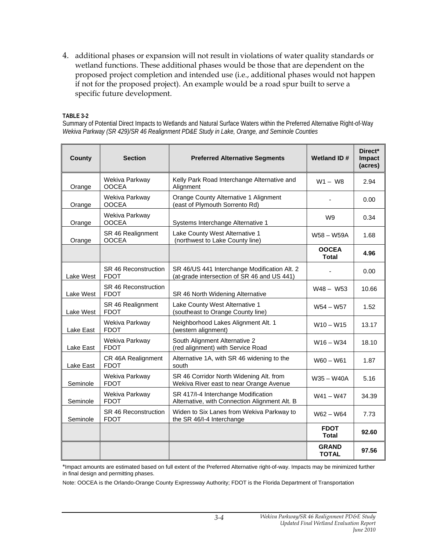4. additional phases or expansion will not result in violations of water quality standards or wetland functions. These additional phases would be those that are dependent on the proposed project completion and intended use (i.e., additional phases would not happen if not for the proposed project). An example would be a road spur built to serve a specific future development.

#### **TABLE 3-2**

Summary of Potential Direct Impacts to Wetlands and Natural Surface Waters within the Preferred Alternative Right-of-Way *Wekiva Parkway (SR 429)/SR 46 Realignment PD&E Study in Lake, Orange, and Seminole Counties* 

| County    | <b>Section</b>                      | <b>Preferred Alternative Segments</b>                                                       | <b>Wetland ID#</b>           | Direct*<br><b>Impact</b><br>(acres) |
|-----------|-------------------------------------|---------------------------------------------------------------------------------------------|------------------------------|-------------------------------------|
| Orange    | Wekiva Parkway<br><b>OOCEA</b>      | Kelly Park Road Interchange Alternative and<br>Alignment                                    | $W1 - W8$                    | 2.94                                |
| Orange    | Wekiva Parkway<br><b>OOCEA</b>      | Orange County Alternative 1 Alignment<br>(east of Plymouth Sorrento Rd)                     |                              | 0.00                                |
| Orange    | Wekiva Parkway<br><b>OOCEA</b>      | Systems Interchange Alternative 1                                                           | W9                           | 0.34                                |
| Orange    | SR 46 Realignment<br><b>OOCEA</b>   | Lake County West Alternative 1<br>(northwest to Lake County line)                           | W58 - W59A                   | 1.68                                |
|           |                                     |                                                                                             | <b>OOCEA</b><br><b>Total</b> | 4.96                                |
| Lake West | SR 46 Reconstruction<br><b>FDOT</b> | SR 46/US 441 Interchange Modification Alt. 2<br>(at-grade intersection of SR 46 and US 441) |                              | 0.00                                |
| Lake West | SR 46 Reconstruction<br><b>FDOT</b> | SR 46 North Widening Alternative                                                            | $W48 - W53$                  | 10.66                               |
| Lake West | SR 46 Realignment<br><b>FDOT</b>    | Lake County West Alternative 1<br>(southeast to Orange County line)                         | $W54 - W57$                  | 1.52                                |
| Lake East | Wekiva Parkway<br><b>FDOT</b>       | Neighborhood Lakes Alignment Alt. 1<br>(western alignment)                                  | $W10 - W15$                  | 13.17                               |
| Lake East | Wekiva Parkway<br><b>FDOT</b>       | South Alignment Alternative 2<br>(red alignment) with Service Road                          | $W16 - W34$                  | 18.10                               |
| Lake East | CR 46A Realignment<br><b>FDOT</b>   | Alternative 1A, with SR 46 widening to the<br>south                                         | $W60 - W61$                  | 1.87                                |
| Seminole  | Wekiva Parkway<br><b>FDOT</b>       | SR 46 Corridor North Widening Alt. from<br>Wekiva River east to near Orange Avenue          | $W35 - W40A$                 | 5.16                                |
| Seminole  | Wekiva Parkway<br><b>FDOT</b>       | SR 417/I-4 Interchange Modification<br>Alternative, with Connection Alignment Alt. B        | $W41 - W47$                  | 34.39                               |
| Seminole  | SR 46 Reconstruction<br><b>FDOT</b> | Widen to Six Lanes from Wekiva Parkway to<br>the SR 46/I-4 Interchange                      | $W62 - W64$                  | 7.73                                |
|           |                                     |                                                                                             | <b>FDOT</b><br>Total         | 92.60                               |
|           |                                     |                                                                                             | <b>GRAND</b><br><b>TOTAL</b> | 97.56                               |

\*Impact amounts are estimated based on full extent of the Preferred Alternative right-of-way. Impacts may be minimized further in final design and permitting phases.

Note: OOCEA is the Orlando-Orange County Expressway Authority; FDOT is the Florida Department of Transportation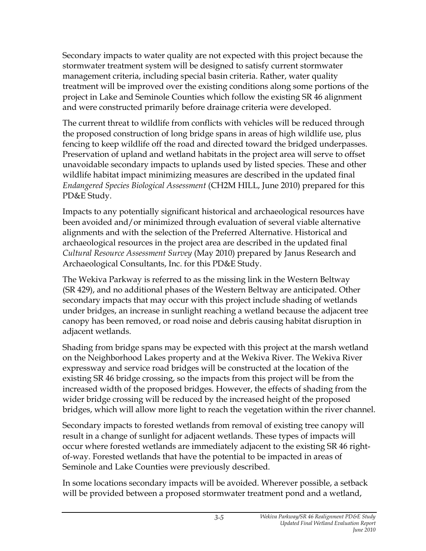Secondary impacts to water quality are not expected with this project because the stormwater treatment system will be designed to satisfy current stormwater management criteria, including special basin criteria. Rather, water quality treatment will be improved over the existing conditions along some portions of the project in Lake and Seminole Counties which follow the existing SR 46 alignment and were constructed primarily before drainage criteria were developed.

The current threat to wildlife from conflicts with vehicles will be reduced through the proposed construction of long bridge spans in areas of high wildlife use, plus fencing to keep wildlife off the road and directed toward the bridged underpasses. Preservation of upland and wetland habitats in the project area will serve to offset unavoidable secondary impacts to uplands used by listed species. These and other wildlife habitat impact minimizing measures are described in the updated final *Endangered Species Biological Assessment* (CH2M HILL, June 2010) prepared for this PD&E Study.

Impacts to any potentially significant historical and archaeological resources have been avoided and/or minimized through evaluation of several viable alternative alignments and with the selection of the Preferred Alternative. Historical and archaeological resources in the project area are described in the updated final *Cultural Resource Assessment Survey* (May 2010) prepared by Janus Research and Archaeological Consultants, Inc. for this PD&E Study.

The Wekiva Parkway is referred to as the missing link in the Western Beltway (SR 429), and no additional phases of the Western Beltway are anticipated. Other secondary impacts that may occur with this project include shading of wetlands under bridges, an increase in sunlight reaching a wetland because the adjacent tree canopy has been removed, or road noise and debris causing habitat disruption in adjacent wetlands.

Shading from bridge spans may be expected with this project at the marsh wetland on the Neighborhood Lakes property and at the Wekiva River. The Wekiva River expressway and service road bridges will be constructed at the location of the existing SR 46 bridge crossing, so the impacts from this project will be from the increased width of the proposed bridges. However, the effects of shading from the wider bridge crossing will be reduced by the increased height of the proposed bridges, which will allow more light to reach the vegetation within the river channel.

Secondary impacts to forested wetlands from removal of existing tree canopy will result in a change of sunlight for adjacent wetlands. These types of impacts will occur where forested wetlands are immediately adjacent to the existing SR 46 rightof-way. Forested wetlands that have the potential to be impacted in areas of Seminole and Lake Counties were previously described.

In some locations secondary impacts will be avoided. Wherever possible, a setback will be provided between a proposed stormwater treatment pond and a wetland,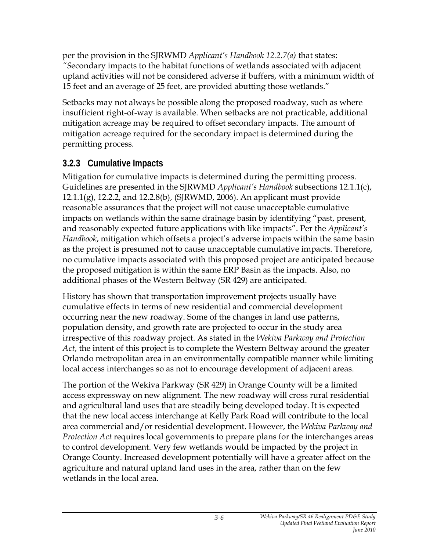per the provision in the SJRWMD *Applicant's Handbook 12.2.7(a)* that states: *"S*econdary impacts to the habitat functions of wetlands associated with adjacent upland activities will not be considered adverse if buffers, with a minimum width of 15 feet and an average of 25 feet, are provided abutting those wetlands."

Setbacks may not always be possible along the proposed roadway, such as where insufficient right-of-way is available. When setbacks are not practicable, additional mitigation acreage may be required to offset secondary impacts. The amount of mitigation acreage required for the secondary impact is determined during the permitting process.

#### **3.2.3 Cumulative Impacts**

Mitigation for cumulative impacts is determined during the permitting process. Guidelines are presented in the SJRWMD *Applicant's Handbook* subsections 12.1.1(c), 12.1.1(g), 12.2.2, and 12.2.8(b), (SJRWMD, 2006). An applicant must provide reasonable assurances that the project will not cause unacceptable cumulative impacts on wetlands within the same drainage basin by identifying "past, present, and reasonably expected future applications with like impacts". Per the *Applicant's Handbook*, mitigation which offsets a project's adverse impacts within the same basin as the project is presumed not to cause unacceptable cumulative impacts. Therefore, no cumulative impacts associated with this proposed project are anticipated because the proposed mitigation is within the same ERP Basin as the impacts. Also, no additional phases of the Western Beltway (SR 429) are anticipated.

History has shown that transportation improvement projects usually have cumulative effects in terms of new residential and commercial development occurring near the new roadway. Some of the changes in land use patterns, population density, and growth rate are projected to occur in the study area irrespective of this roadway project. As stated in the *Wekiva Parkway and Protection Act*, the intent of this project is to complete the Western Beltway around the greater Orlando metropolitan area in an environmentally compatible manner while limiting local access interchanges so as not to encourage development of adjacent areas.

The portion of the Wekiva Parkway (SR 429) in Orange County will be a limited access expressway on new alignment. The new roadway will cross rural residential and agricultural land uses that are steadily being developed today. It is expected that the new local access interchange at Kelly Park Road will contribute to the local area commercial and/or residential development. However, the *Wekiva Parkway and Protection Act* requires local governments to prepare plans for the interchanges areas to control development. Very few wetlands would be impacted by the project in Orange County. Increased development potentially will have a greater affect on the agriculture and natural upland land uses in the area, rather than on the few wetlands in the local area.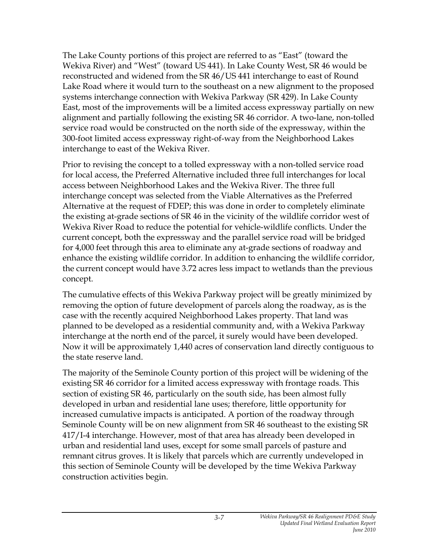The Lake County portions of this project are referred to as "East" (toward the Wekiva River) and "West" (toward US 441). In Lake County West, SR 46 would be reconstructed and widened from the SR 46/US 441 interchange to east of Round Lake Road where it would turn to the southeast on a new alignment to the proposed systems interchange connection with Wekiva Parkway (SR 429). In Lake County East, most of the improvements will be a limited access expressway partially on new alignment and partially following the existing SR 46 corridor. A two-lane, non-tolled service road would be constructed on the north side of the expressway, within the 300-foot limited access expressway right-of-way from the Neighborhood Lakes interchange to east of the Wekiva River.

Prior to revising the concept to a tolled expressway with a non-tolled service road for local access, the Preferred Alternative included three full interchanges for local access between Neighborhood Lakes and the Wekiva River. The three full interchange concept was selected from the Viable Alternatives as the Preferred Alternative at the request of FDEP; this was done in order to completely eliminate the existing at-grade sections of SR 46 in the vicinity of the wildlife corridor west of Wekiva River Road to reduce the potential for vehicle-wildlife conflicts. Under the current concept, both the expressway and the parallel service road will be bridged for 4,000 feet through this area to eliminate any at-grade sections of roadway and enhance the existing wildlife corridor. In addition to enhancing the wildlife corridor, the current concept would have 3.72 acres less impact to wetlands than the previous concept.

The cumulative effects of this Wekiva Parkway project will be greatly minimized by removing the option of future development of parcels along the roadway, as is the case with the recently acquired Neighborhood Lakes property. That land was planned to be developed as a residential community and, with a Wekiva Parkway interchange at the north end of the parcel, it surely would have been developed. Now it will be approximately 1,440 acres of conservation land directly contiguous to the state reserve land.

The majority of the Seminole County portion of this project will be widening of the existing SR 46 corridor for a limited access expressway with frontage roads. This section of existing SR 46, particularly on the south side, has been almost fully developed in urban and residential lane uses; therefore, little opportunity for increased cumulative impacts is anticipated. A portion of the roadway through Seminole County will be on new alignment from SR 46 southeast to the existing SR 417/I-4 interchange. However, most of that area has already been developed in urban and residential land uses, except for some small parcels of pasture and remnant citrus groves. It is likely that parcels which are currently undeveloped in this section of Seminole County will be developed by the time Wekiva Parkway construction activities begin.